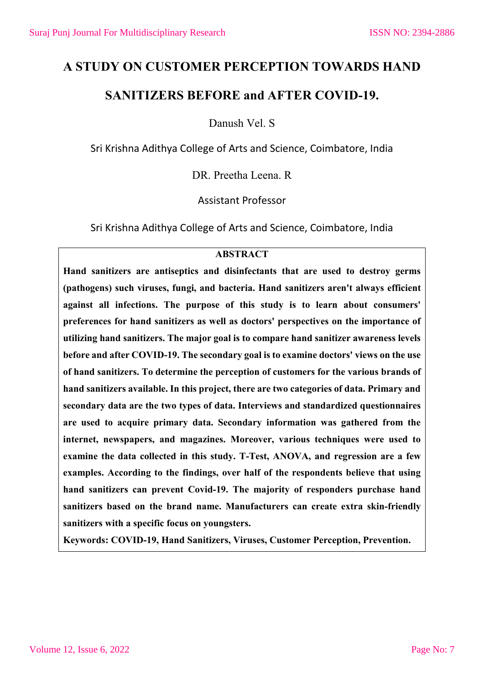## **A STUDY ON CUSTOMER PERCEPTION TOWARDS HAND**

## **SANITIZERS BEFORE and AFTER COVID-19.**

Danush Vel. S

Sri Krishna Adithya College of Arts and Science, Coimbatore, India

DR. Preetha Leena. R

Assistant Professor

Sri Krishna Adithya College of Arts and Science, Coimbatore, India

#### **ABSTRACT**

**Hand sanitizers are antiseptics and disinfectants that are used to destroy germs (pathogens) such viruses, fungi, and bacteria. Hand sanitizers aren't always efficient against all infections. The purpose of this study is to learn about consumers' preferences for hand sanitizers as well as doctors' perspectives on the importance of utilizing hand sanitizers. The major goal is to compare hand sanitizer awareness levels before and after COVID-19. The secondary goal is to examine doctors' views on the use of hand sanitizers. To determine the perception of customers for the various brands of hand sanitizers available. In this project, there are two categories of data. Primary and secondary data are the two types of data. Interviews and standardized questionnaires are used to acquire primary data. Secondary information was gathered from the internet, newspapers, and magazines. Moreover, various techniques were used to examine the data collected in this study. T-Test, ANOVA, and regression are a few examples. According to the findings, over half of the respondents believe that using hand sanitizers can prevent Covid-19. The majority of responders purchase hand sanitizers based on the brand name. Manufacturers can create extra skin-friendly sanitizers with a specific focus on youngsters.**

**Keywords: COVID-19, Hand Sanitizers, Viruses, Customer Perception, Prevention.**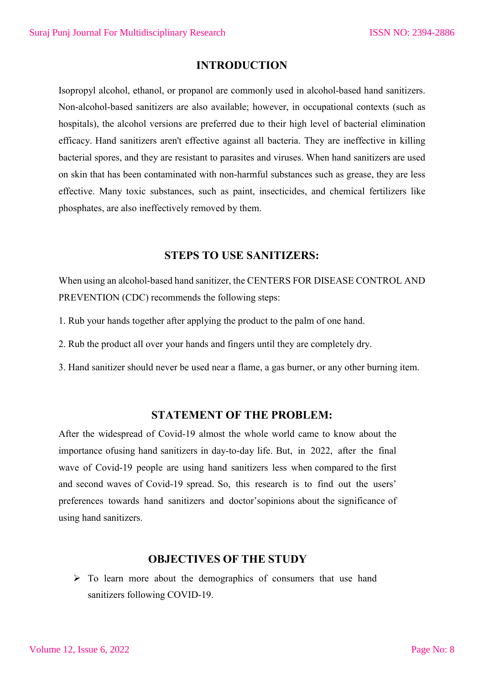## **INTRODUCTION**

Isopropyl alcohol, ethanol, or propanol are commonly used in alcohol-based hand sanitizers. Non-alcohol-based sanitizers are also available; however, in occupational contexts (such as hospitals), the alcohol versions are preferred due to their high level of bacterial elimination efficacy. Hand sanitizers aren't effective against all bacteria. They are ineffective in killing bacterial spores, and they are resistant to parasites and viruses. When hand sanitizers are used on skin that has been contaminated with non-harmful substances such as grease, they are less effective. Many toxic substances, such as paint, insecticides, and chemical fertilizers like phosphates, are also ineffectively removed by them.

#### **STEPS TO USE SANITIZERS:**

When using an alcohol-based hand sanitizer, the CENTERS FOR DISEASE CONTROL AND PREVENTION (CDC) recommends the following steps:

- 1. Rub your hands together after applying the product to the palm of one hand.
- 2. Rub the product all over your hands and fingers until they are completely dry.
- 3. Hand sanitizer should never be used near a flame, a gas burner, or any other burning item.

## **STATEMENT OF THE PROBLEM:**

After the widespread of Covid-19 almost the whole world came to know about the importance ofusing hand sanitizers in day-to-day life. But, in 2022, after the final wave of Covid-19 people are using hand sanitizers less when compared to the first and second waves of Covid-19 spread. So, this research is to find out the users' preferences towards hand sanitizers and doctor'sopinions about the significance of using hand sanitizers.

#### **OBJECTIVES OF THE STUDY**

 $\triangleright$  To learn more about the demographics of consumers that use hand sanitizers following COVID-19.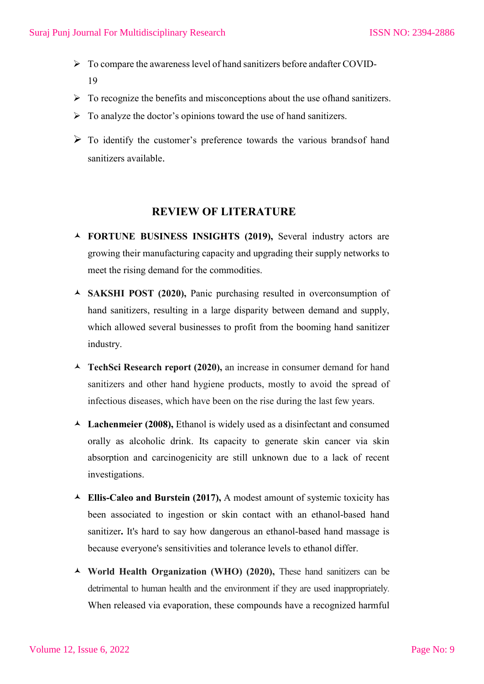- $\triangleright$  To compare the awareness level of hand sanitizers before andafter COVID-19
- $\triangleright$  To recognize the benefits and misconceptions about the use of hand sanitizers.
- $\triangleright$  To analyze the doctor's opinions toward the use of hand sanitizers.
- $\triangleright$  To identify the customer's preference towards the various brands of hand sanitizers available.

### **REVIEW OF LITERATURE**

- **FORTUNE BUSINESS INSIGHTS (2019),** Several industry actors are growing their manufacturing capacity and upgrading their supply networks to meet the rising demand for the commodities.
- **SAKSHI POST (2020),** Panic purchasing resulted in overconsumption of hand sanitizers, resulting in a large disparity between demand and supply, which allowed several businesses to profit from the booming hand sanitizer industry.
- **TechSci Research report (2020),** an increase in consumer demand for hand sanitizers and other hand hygiene products, mostly to avoid the spread of infectious diseases, which have been on the rise during the last few years.
- **Lachenmeier (2008),** Ethanol is widely used as a disinfectant and consumed orally as alcoholic drink. Its capacity to generate skin cancer via skin absorption and carcinogenicity are still unknown due to a lack of recent investigations.
- **Ellis-Caleo and Burstein (2017),** A modest amount of systemic toxicity has been associated to ingestion or skin contact with an ethanol-based hand sanitizer**.** It's hard to say how dangerous an ethanol-based hand massage is because everyone's sensitivities and tolerance levels to ethanol differ.
- **World Health Organization (WHO) (2020),** These hand sanitizers can be detrimental to human health and the environment if they are used inappropriately. When released via evaporation, these compounds have a recognized harmful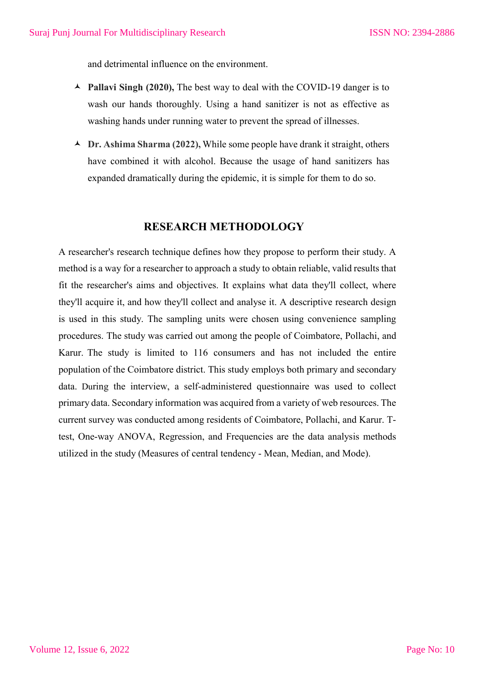and detrimental influence on the environment.

- **Pallavi Singh (2020),** The best way to deal with the COVID-19 danger is to wash our hands thoroughly. Using a hand sanitizer is not as effective as washing hands under running water to prevent the spread of illnesses.
- **Dr. Ashima Sharma (2022),** While some people have drank it straight, others have combined it with alcohol. Because the usage of hand sanitizers has expanded dramatically during the epidemic, it is simple for them to do so.

#### **RESEARCH METHODOLOGY**

A researcher's research technique defines how they propose to perform their study. A method is a way for a researcher to approach a study to obtain reliable, valid results that fit the researcher's aims and objectives. It explains what data they'll collect, where they'll acquire it, and how they'll collect and analyse it. A descriptive research design is used in this study. The sampling units were chosen using convenience sampling procedures. The study was carried out among the people of Coimbatore, Pollachi, and Karur. The study is limited to 116 consumers and has not included the entire population of the Coimbatore district. This study employs both primary and secondary data. During the interview, a self-administered questionnaire was used to collect primary data. Secondary information was acquired from a variety of web resources. The current survey was conducted among residents of Coimbatore, Pollachi, and Karur. Ttest, One-way ANOVA, Regression, and Frequencies are the data analysis methods utilized in the study (Measures of central tendency - Mean, Median, and Mode).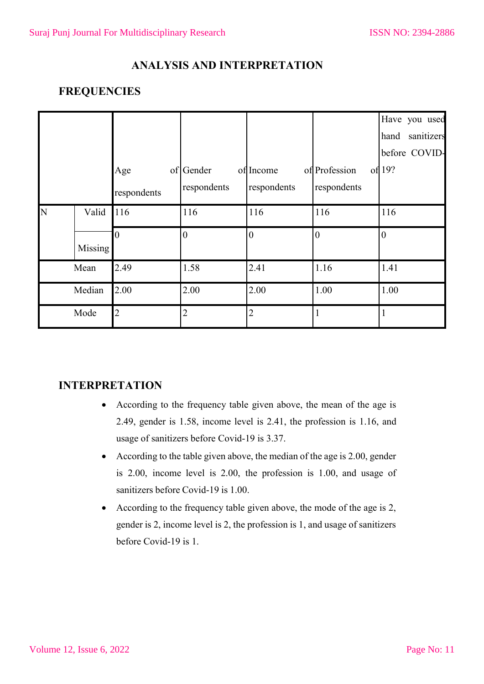## **ANALYSIS AND INTERPRETATION**

## **FREQUENCIES**

|   |         | Age            | of Gender      | of Income      | of Profession  | Have you used<br>sanitizers<br>hand<br>before COVID-<br>of 19? |
|---|---------|----------------|----------------|----------------|----------------|----------------------------------------------------------------|
|   |         | respondents    | respondents    | respondents    | respondents    |                                                                |
| N | Valid   | 116            | 116            | 116            | 116            | 116                                                            |
|   | Missing |                | $\Omega$       | 0              | $\overline{0}$ | $\theta$                                                       |
|   | Mean    | 2.49           | 1.58           | 2.41           | 1.16           | 1.41                                                           |
|   | Median  | 2.00           | 2.00           | 2.00           | 1.00           | 1.00                                                           |
|   | Mode    | $\overline{2}$ | $\overline{2}$ | $\overline{2}$ |                | $\mathbf{1}$                                                   |

### **INTERPRETATION**

- According to the frequency table given above, the mean of the age is 2.49, gender is 1.58, income level is 2.41, the profession is 1.16, and usage of sanitizers before Covid-19 is 3.37.
- According to the table given above, the median of the age is 2.00, gender is 2.00, income level is 2.00, the profession is 1.00, and usage of sanitizers before Covid-19 is 1.00.
- According to the frequency table given above, the mode of the age is 2, gender is 2, income level is 2, the profession is 1, and usage of sanitizers before Covid-19 is 1.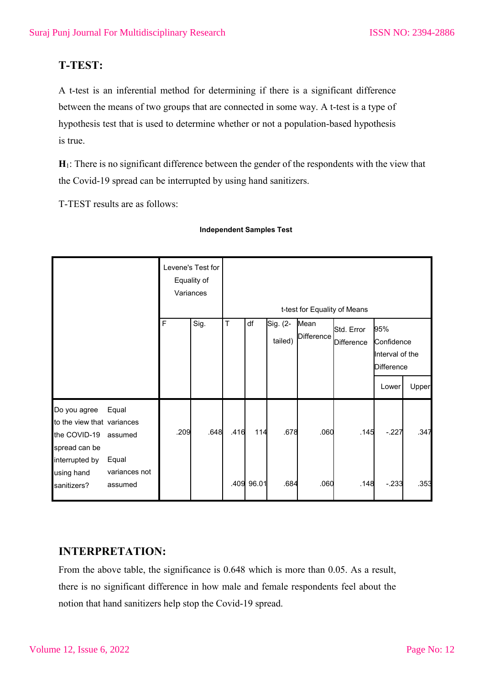## **T-TEST:**

A t-test is an inferential method for determining if there is a significant difference between the means of two groups that are connected in some way. A t-test is a type of hypothesis test that is used to determine whether or not a population-based hypothesis is true.

**H**1: There is no significant difference between the gender of the respondents with the view that the Covid-19 spread can be interrupted by using hand sanitizers.

T-TEST results are as follows:

| Levene's Test for<br>Equality of<br>Variances                                                 |                           |      | t-test for Equality of Means |        |            |                     |                           |                          |                                                           |       |
|-----------------------------------------------------------------------------------------------|---------------------------|------|------------------------------|--------|------------|---------------------|---------------------------|--------------------------|-----------------------------------------------------------|-------|
|                                                                                               |                           | F    | Sig.                         | $\top$ | df         | Sig. (2-<br>tailed) | Mean<br><b>Difference</b> | Std. Error<br>Difference | 95%<br>Confidence<br>Interval of the<br><b>Difference</b> |       |
|                                                                                               |                           |      |                              |        |            |                     |                           |                          | Lower                                                     | Upper |
| Do you agree<br>to the view that variances<br>the COVID-19<br>spread can be<br>interrupted by | Equal<br>assumed<br>Equal | .209 | .648                         | .416   | 114        | .678                | .060                      | .145                     | $-227$                                                    | .347  |
| using hand<br>sanitizers?                                                                     | variances not<br>assumed  |      |                              |        | .409 96.01 | .684                | .060                      | .148                     | $-233$                                                    | .353  |

#### **Independent Samples Test**

## **INTERPRETATION:**

From the above table, the significance is 0.648 which is more than 0.05. As a result, there is no significant difference in how male and female respondents feel about the notion that hand sanitizers help stop the Covid-19 spread.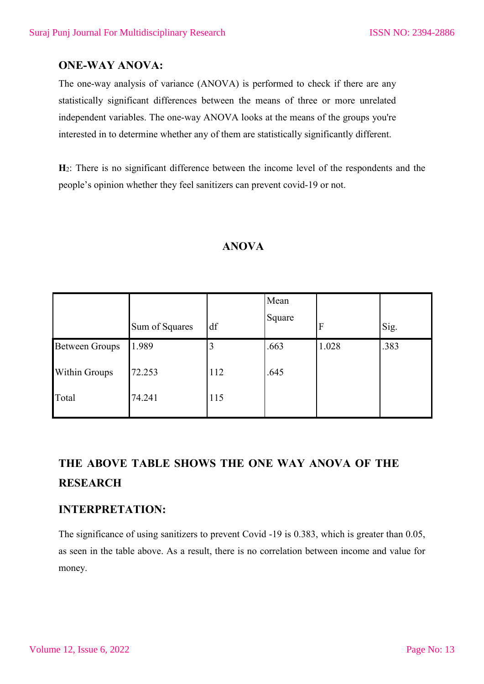## **ONE-WAY ANOVA:**

The one-way analysis of variance (ANOVA) is performed to check if there are any statistically significant differences between the means of three or more unrelated independent variables. The one-way ANOVA looks at the means of the groups you're interested in to determine whether any of them are statistically significantly different.

**H**2: There is no significant difference between the income level of the respondents and the people's opinion whether they feel sanitizers can prevent covid-19 or not.

|                       | Sum of Squares | df  | Mean<br>Square | $\boldsymbol{\mathrm{F}}$ | Sig. |
|-----------------------|----------------|-----|----------------|---------------------------|------|
| <b>Between Groups</b> | 1.989          |     | .663           | 1.028                     | .383 |
| <b>Within Groups</b>  | 72.253         | 112 | .645           |                           |      |
| Total                 | 74.241         | 115 |                |                           |      |

### **ANOVA**

## **THE ABOVE TABLE SHOWS THE ONE WAY ANOVA OF THE RESEARCH**

## **INTERPRETATION:**

The significance of using sanitizers to prevent Covid -19 is 0.383, which is greater than 0.05, as seen in the table above. As a result, there is no correlation between income and value for money.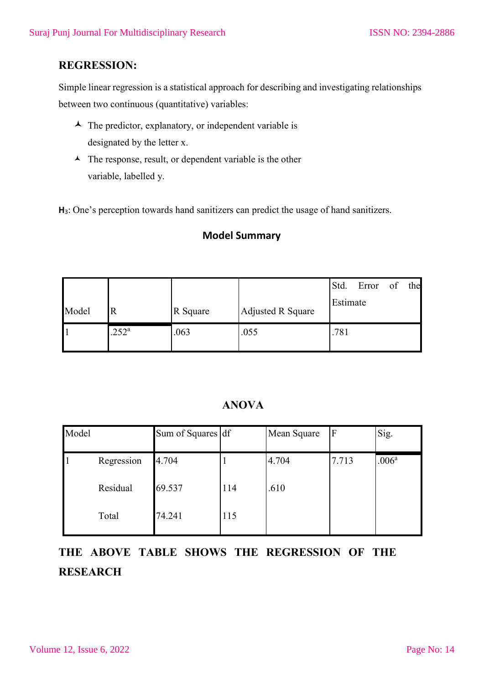## **REGRESSION:**

Simple linear regression is a statistical approach for describing and investigating relationships between two continuous (quantitative) variables:

- $\blacktriangle$  The predictor, explanatory, or independent variable is designated by the letter x.
- $\blacktriangle$  The response, result, or dependent variable is the other variable, labelled y.

**H**3: One's perception towards hand sanitizers can predict the usage of hand sanitizers.

#### **Model Summary**

|       |                |          |                   | Std.     | Error | of | the |
|-------|----------------|----------|-------------------|----------|-------|----|-----|
| Model | R              | R Square | Adjusted R Square | Estimate |       |    |     |
|       | $.252^{\rm a}$ | .063     | .055              | .781     |       |    |     |

## **ANOVA**

| Model |            | Sum of Squares df |     | Mean Square | $\mathbf{F}$ | Sig.              |
|-------|------------|-------------------|-----|-------------|--------------|-------------------|
|       | Regression | 4.704             |     | 4.704       | 7.713        | .006 <sup>a</sup> |
|       | Residual   | 69.537            | 114 | .610        |              |                   |
|       | Total      | 74.241            | 115 |             |              |                   |

# **THE ABOVE TABLE SHOWS THE REGRESSION OF THE RESEARCH**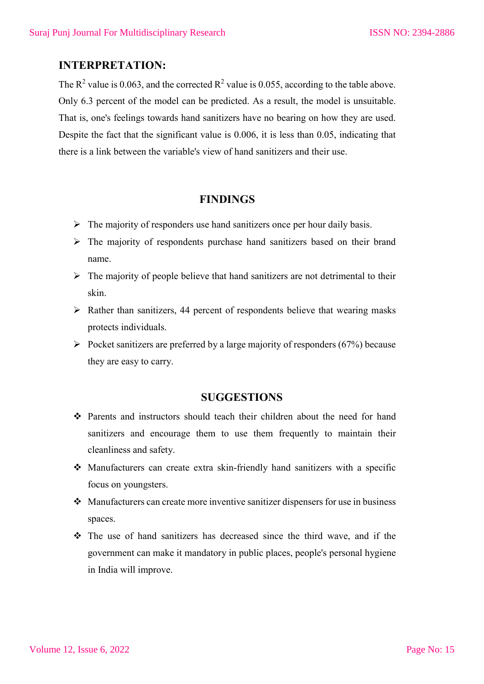#### **INTERPRETATION:**

The  $\mathbb{R}^2$  value is 0.063, and the corrected  $\mathbb{R}^2$  value is 0.055, according to the table above. Only 6.3 percent of the model can be predicted. As a result, the model is unsuitable. That is, one's feelings towards hand sanitizers have no bearing on how they are used. Despite the fact that the significant value is 0.006, it is less than 0.05, indicating that there is a link between the variable's view of hand sanitizers and their use.

#### **FINDINGS**

- $\triangleright$  The majority of responders use hand sanitizers once per hour daily basis.
- $\triangleright$  The majority of respondents purchase hand sanitizers based on their brand name.
- $\triangleright$  The majority of people believe that hand sanitizers are not detrimental to their skin.
- $\triangleright$  Rather than sanitizers, 44 percent of respondents believe that wearing masks protects individuals.
- $\triangleright$  Pocket sanitizers are preferred by a large majority of responders (67%) because they are easy to carry.

#### **SUGGESTIONS**

- Parents and instructors should teach their children about the need for hand sanitizers and encourage them to use them frequently to maintain their cleanliness and safety.
- Manufacturers can create extra skin-friendly hand sanitizers with a specific focus on youngsters.
- Manufacturers can create more inventive sanitizer dispensers for use in business spaces.
- $\hat{\mathbf{v}}$  The use of hand sanitizers has decreased since the third wave, and if the government can make it mandatory in public places, people's personal hygiene in India will improve.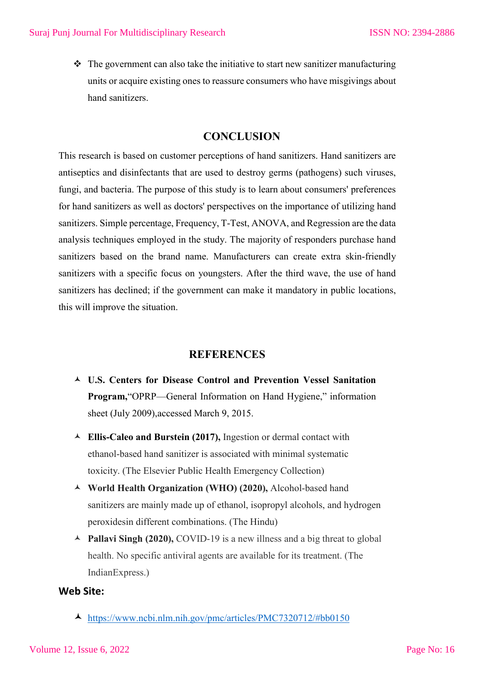$\cdot \cdot$  The government can also take the initiative to start new sanitizer manufacturing units or acquire existing ones to reassure consumers who have misgivings about hand sanitizers.

#### **CONCLUSION**

This research is based on customer perceptions of hand sanitizers. Hand sanitizers are antiseptics and disinfectants that are used to destroy germs (pathogens) such viruses, fungi, and bacteria. The purpose of this study is to learn about consumers' preferences for hand sanitizers as well as doctors' perspectives on the importance of utilizing hand sanitizers. Simple percentage, Frequency, T-Test, ANOVA, and Regression are the data analysis techniques employed in the study. The majority of responders purchase hand sanitizers based on the brand name. Manufacturers can create extra skin-friendly sanitizers with a specific focus on youngsters. After the third wave, the use of hand sanitizers has declined; if the government can make it mandatory in public locations, this will improve the situation.

#### **REFERENCES**

- **U.S. Centers for Disease Control and Prevention Vessel Sanitation Program,**"OPRP—General Information on Hand Hygiene," information sheet (July 2009),accessed March 9, 2015.
- **Ellis-Caleo and Burstein (2017),** Ingestion or dermal contact with ethanol-based hand sanitizer is associated with minimal systematic toxicity. (The Elsevier Public Health Emergency Collection)
- **World Health Organization (WHO) (2020),** Alcohol-based hand sanitizers are mainly made up of ethanol, isopropyl alcohols, and hydrogen peroxidesin different combinations. (The Hindu)
- **Pallavi Singh (2020),** COVID-19 is a new illness and a big threat to global health. No specific antiviral agents are available for its treatment. (The IndianExpress.)

#### **Web Site:**

https://www.ncbi.nlm.nih.gov/pmc/articles/PMC7320712/#bb0150